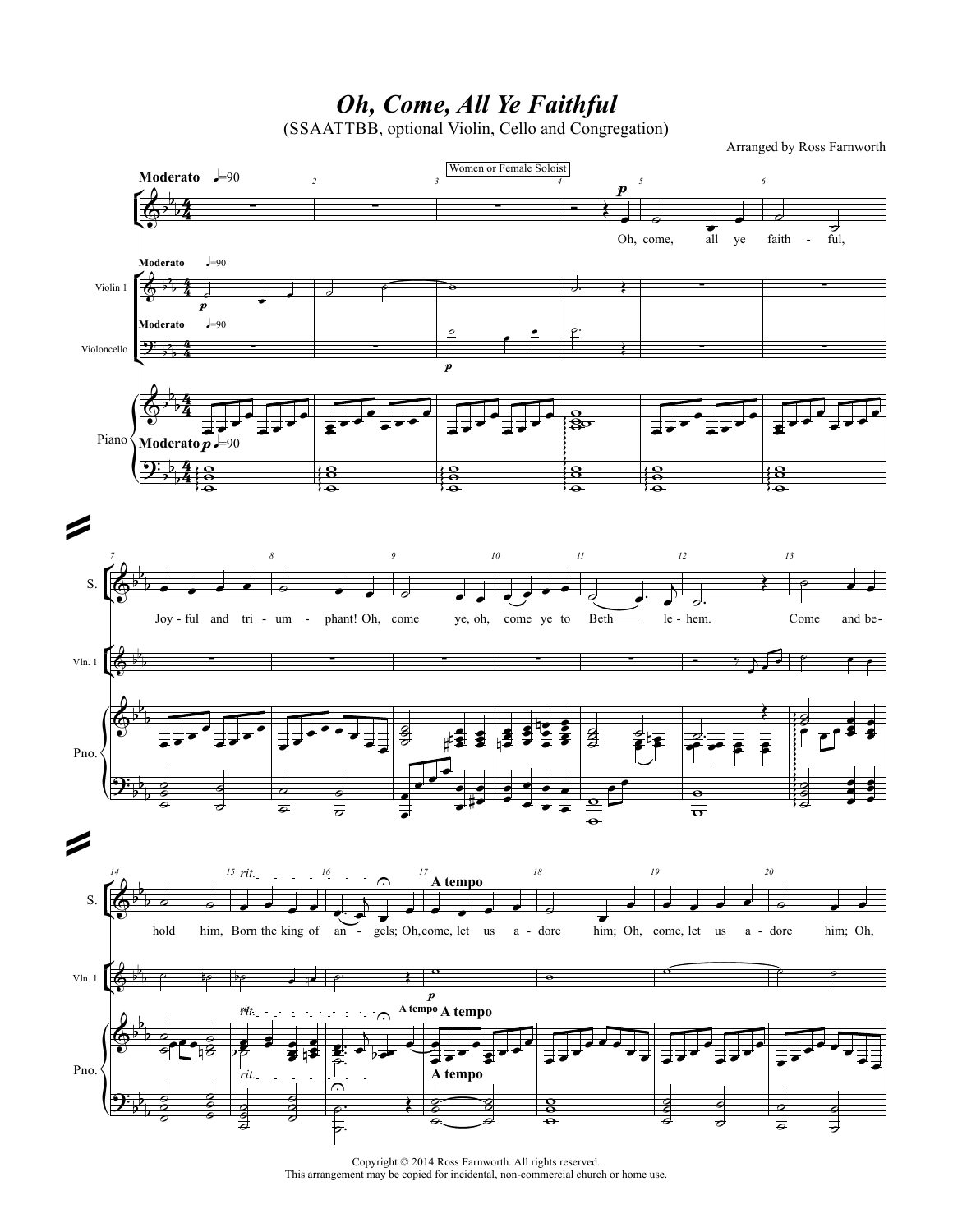*Oh, Come, All Ye Faithful*

(SSAATTBB, optional Violin, Cello and Congregation)



Copyright © 2014 Ross Farnworth. All rights reserved. This arrangement may be copied for incidental, non-commercial church or home use.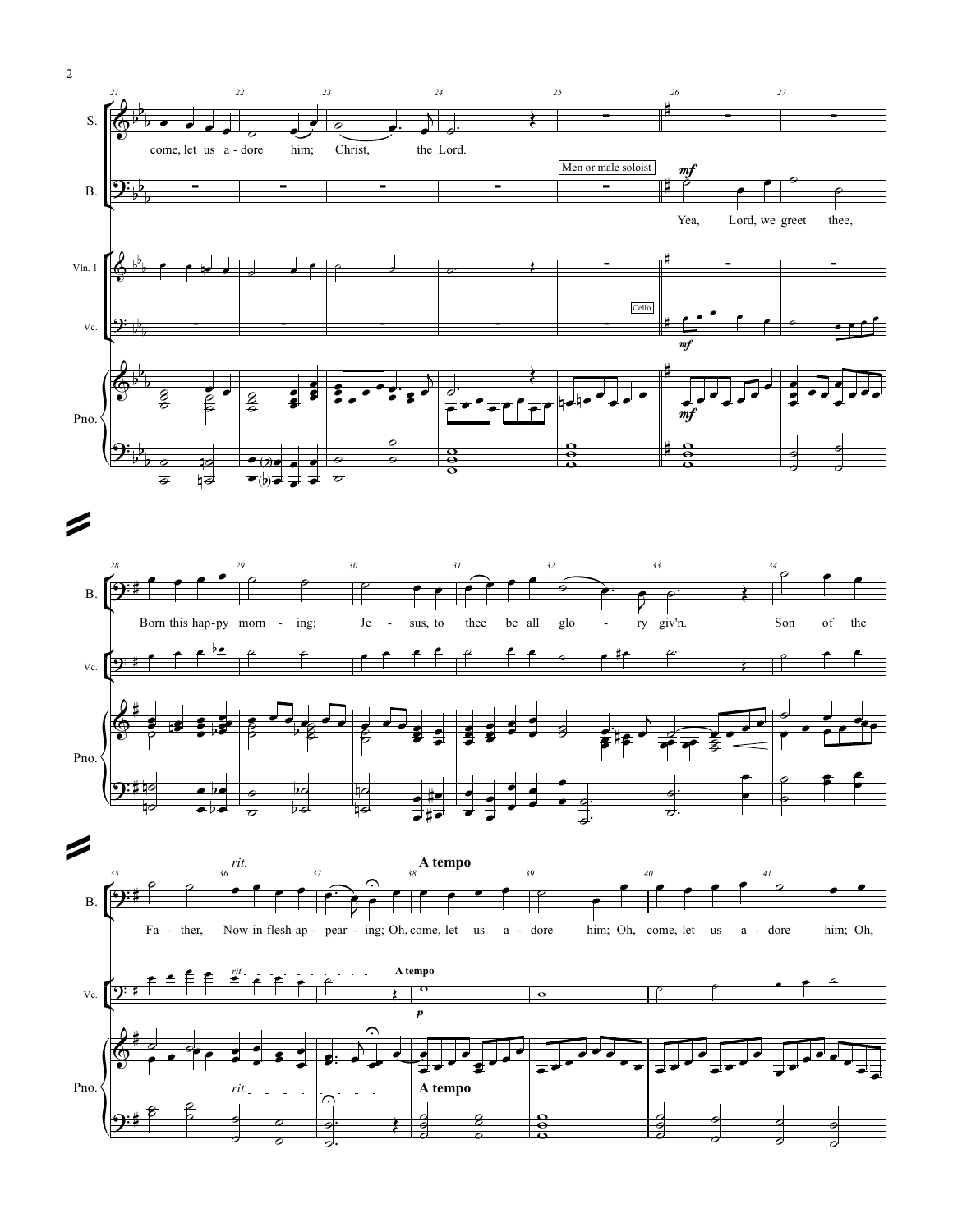





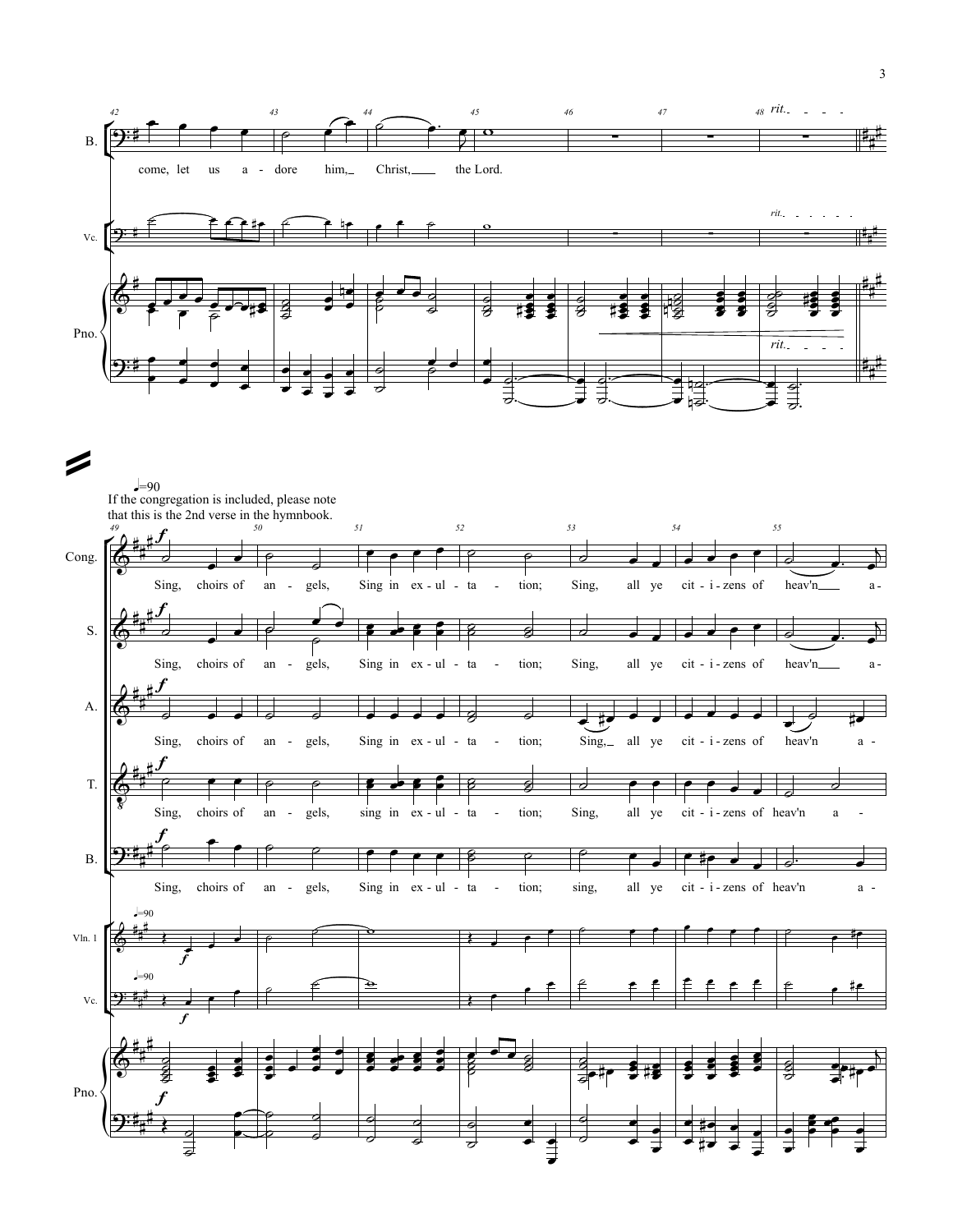

f

Œ

 $\overline{\phantom{a}}$ ˙ œ œ ˙  $\overline{\phantom{a}}$ 。<br><

˙ ˙

 $\exists$  $\frac{1}{2}$ 

 $\exists$  $\frac{1}{2}$  œ œ ∄ <u>e</u> ∂  $\frac{1}{2}$ 

œ œ

œ œ œ œ

œ œ#  $\overline{t}$ œ

œ œ œ œ œœ œ œœ œ

œ œ

 $\mathbf{\mathfrak{P}}^{\sharp}$ #

<sup>3</sup>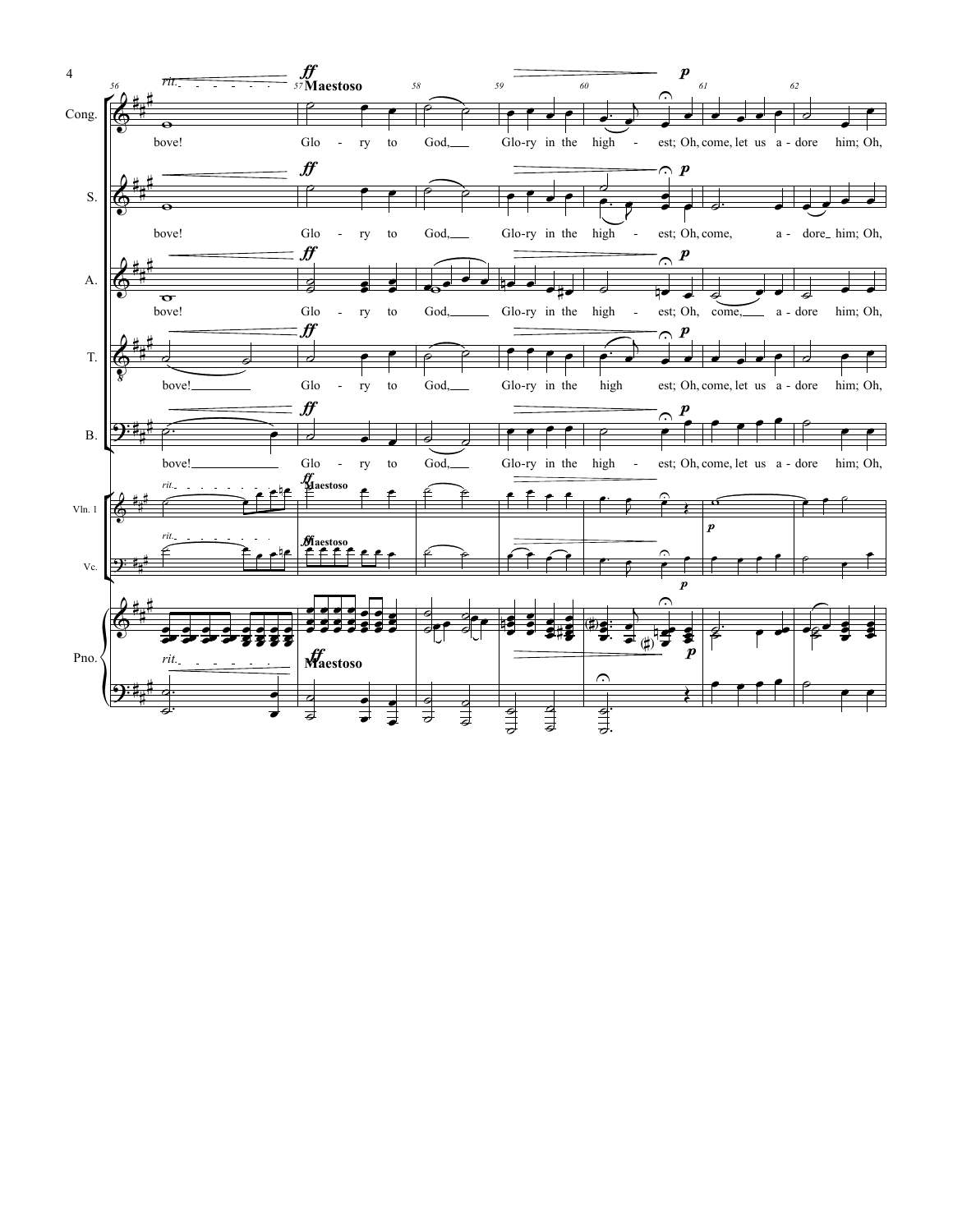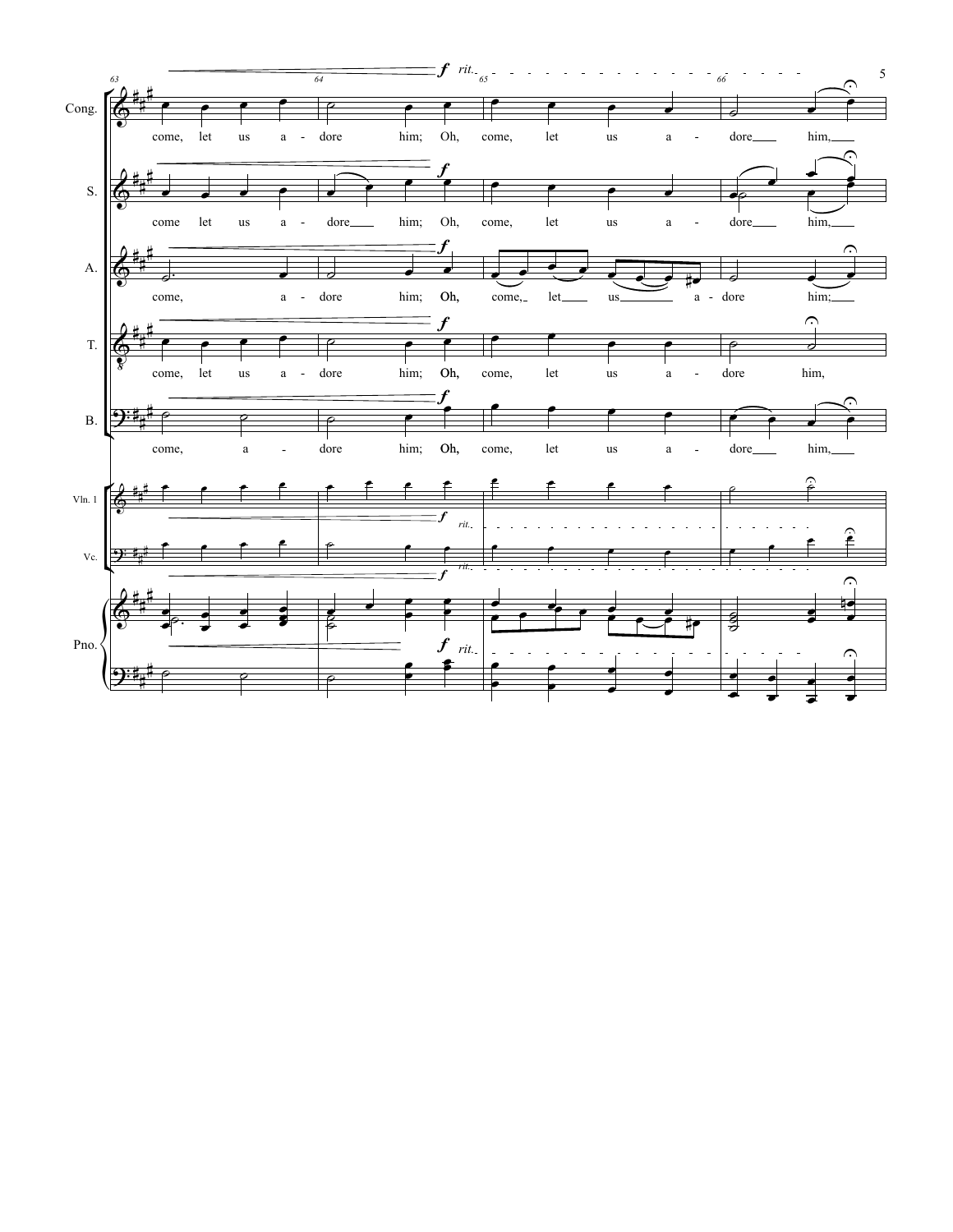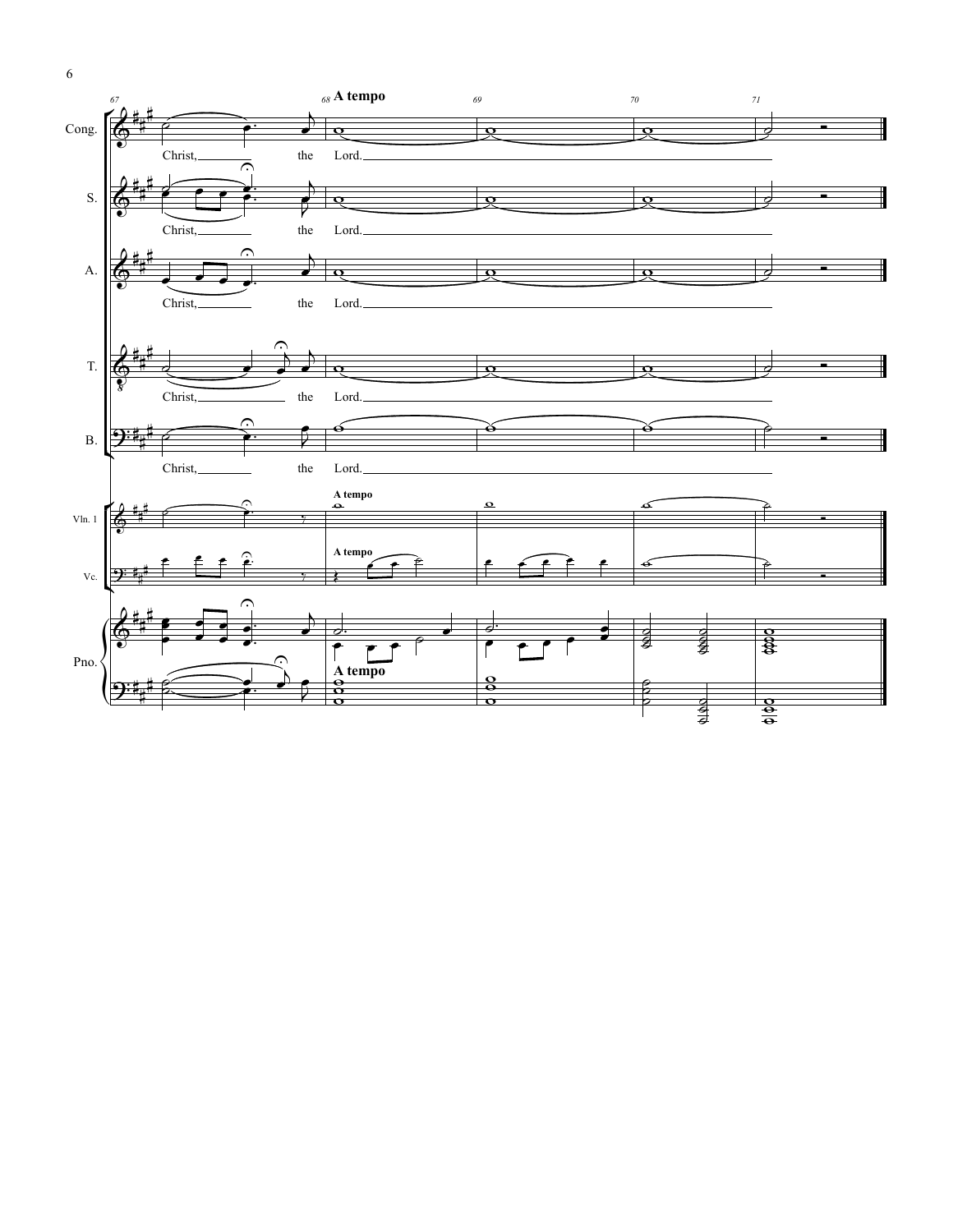

 $\sqrt{6}$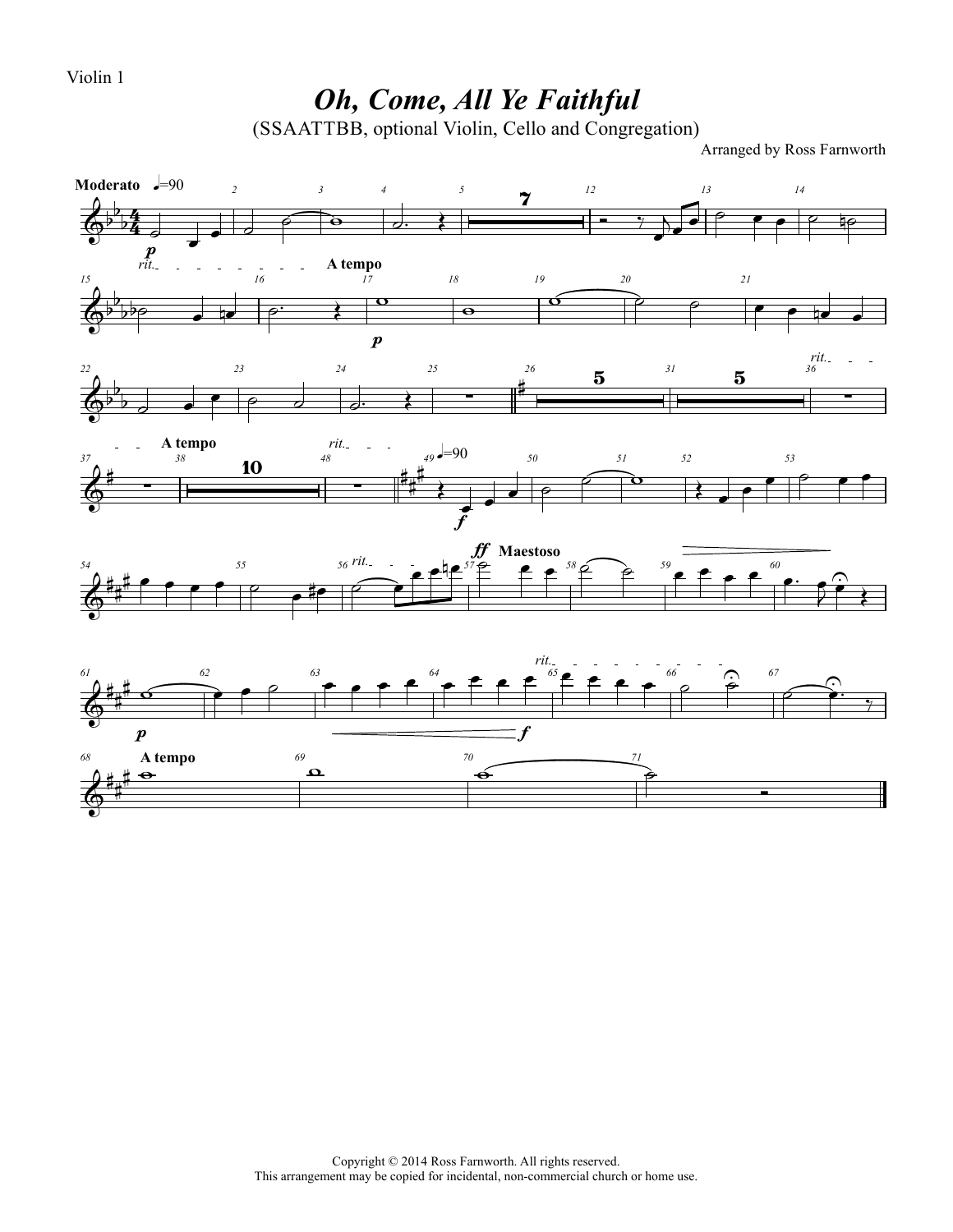## *Oh, Come, All Ye Faithful*

(SSAATTBB, optional Violin, Cello and Congregation)

Arranged by Ross Farnworth